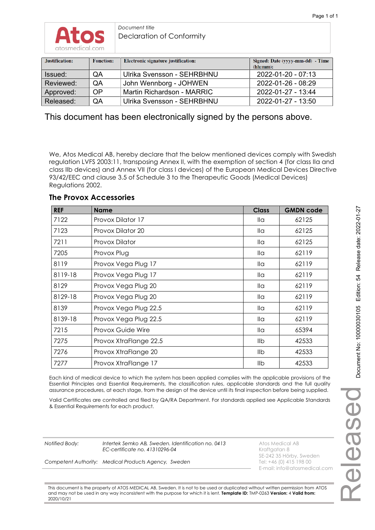

*Document title*  Declaration of Conformity

| Justification: | <b>Function:</b> | Electronic signature justification: | Signed: Date (yyyy-mm-dd) - Time<br>(hh:mm): |
|----------------|------------------|-------------------------------------|----------------------------------------------|
| Issued:        | QA               | Ulrika Svensson - SEHRBHNU          | 2022-01-20 - 07:13                           |
| Reviewed:      | QA               | John Wennborg - JOHWEN              | 2022-01-26 - 08:29                           |
| Approved:      | <b>OP</b>        | Martin Richardson - MARRIC          | 2022-01-27 - 13:44                           |
| Released:      | QA               | Ulrika Svensson - SEHRBHNU          | 2022-01-27 - 13:50                           |

This document has been electronically signed by the persons above.

We, Atos Medical AB, hereby declare that the below mentioned devices comply with Swedish regulation LVFS 2003:11, transposing Annex II, with the exemption of section 4 (for class IIa and class IIb devices) and Annex VII (for class I devices) of the European Medical Devices Directive 93/42/EEC and clause 3.5 of Schedule 3 to the Therapeutic Goods (Medical Devices) Regulations 2002.

**The Provox Accessories**

| <b>REF</b> | <b>Name</b>              | <b>Class</b> | <b>GMDN code</b> |
|------------|--------------------------|--------------|------------------|
| 7122       | Provox Dilator 17        | lla          | 62125            |
| 7123       | Provox Dilator 20        | lla          | 62125            |
| 7211       | Provox Dilator           | lla          | 62125            |
| 7205       | Provox Plug              | lla          | 62119            |
| 8119       | Provox Vega Plug 17      | lla          | 62119            |
| 8119-18    | Provox Vega Plug 17      | lla          | 62119            |
| 8129       | Provox Vega Plug 20      | lla          | 62119            |
| 8129-18    | Provox Vega Plug 20      | lla          | 62119            |
| 8139       | Provox Vega Plug 22.5    | lla          | 62119            |
| 8139-18    | Provox Vega Plug 22.5    | lla          | 62119            |
| 7215       | <b>Provox Guide Wire</b> | lla          | 65394            |
| 7275       | Provox XtraFlange 22.5   | llb          | 42533            |
| 7276       | Provox XtraFlange 20     | llb          | 42533            |
| 7277       | Provox XtraFlange 17     | llb          | 42533            |

Each kind of medical device to which the system has been applied complies with the applicable provisions of the Essential Principles and Essential Requirements, the classification rules, applicable standards and the full quality assurance procedures, at each stage, from the design of the device until its final inspection before being supplied.

Valid Certificates are controlled and filed by QA/RA Department. For standards applied see Applicable Standards & Essential Requirements for each product.

**Notified Body:** Intertek Semko AB, Sweden. Identification no. 0413 Atos Medical AB *EC-certificate no. 41310296-04* **Kraftgatan 8** 

*Competent Authority: Medical Products Agency, Sweden* 

SE-242 35 Hörby, Sweden E-mail: info@atosmedical.com

This document is the property of ATOS MEDICAL AB, Sweden. It is not to be used or duplicated without written permission from ATOS and may not be used in any way inconsistent with the purpose for which it is lent. **Template ID:** TMP-0263 **Version:** 4 **Valid from:** 2020/10/21

Released

Release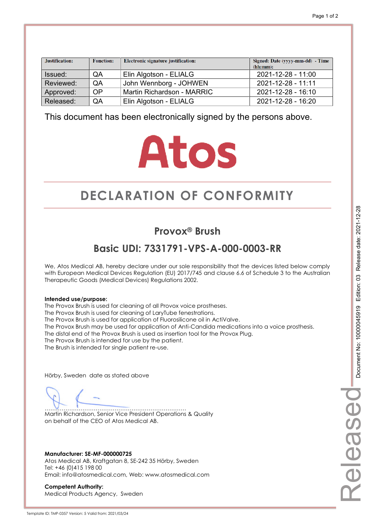| Justification: | <b>Function:</b> | Electronic signature justification: | Signed: Date (yyyy-mm-dd) - Time<br>(hh:mm): |
|----------------|------------------|-------------------------------------|----------------------------------------------|
| Issued:        | QA               | Elin Algotson - ELIALG              | 2021-12-28 - 11:00                           |
| Reviewed:      | QA               | John Wennborg - JOHWEN              | 2021-12-28 - 11:11                           |
| Approved:      | <b>OP</b>        | Martin Richardson - MARRIC          | 2021-12-28 - 16:10                           |
| Released:      | QA               | Elin Algotson - ELIALG              | 2021-12-28 - 16:20                           |

# **Atos**

# **DECLARATION OF CONFORMITY CONFORMITY**

## **Provox® Brush**

## **Basic UDI: 7331791-VPS-A-000-0003-RR**

We, Atos Medical AB, hereby declare under our sole responsibility that the devices listed below comply with European Medical Devices Regulation (EU) 2017/745 and clause 6.6 of Schedule 3 to the Australian Therapeutic Goods (Medical Devices) Regulations 2002.

#### **Intended use/purpose:**

The Provox Brush is used for cleaning of all Provox voice prostheses. The Provox Brush is used for cleaning of LaryTube fenestrations. The Provox Brush is used for application of Fluorosilicone oil in ActiValve. The Provox Brush may be used for application of Anti-Candida medications into a voice prosthesis. The distal end of the Provox Brush is used as insertion tool for the Provox Plug. The Provox Brush is intended for use by the patient. The Brush is intended for single patient re-use.

Hörby, Sweden date as stated above

………………………………………………………………… Martin Richardson, Senior Vice President Operations & Quality on behalf of the CEO of Atos Medical AB.

**Manufacturer: SE-MF-000000725**  Atos Medical AB, Kraftgatan 8, SE-242 35 Hörby, Sweden Tel: +46 (0)415 198 00 Email: info@atosmedical.com, Web: www.atosmedical.com

**Competent Authority:**  Medical Products Agency, Sweden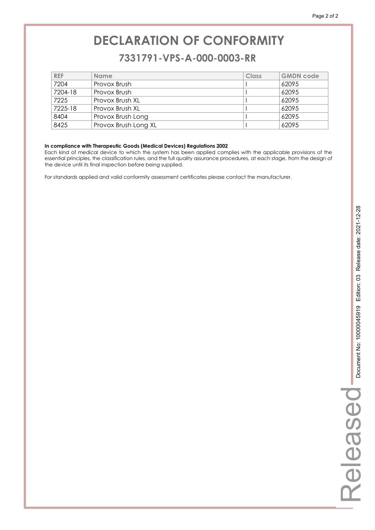### **7331791-VPS-A-000-0003-RR 7331791-VPS-A-000-0003-RR**

| <b>REF</b> | <b>Name</b>          | Class | <b>GMDN code</b> |
|------------|----------------------|-------|------------------|
| 7204       | Provox Brush         |       | 62095            |
| 7204-18    | Provox Brush         |       | 62095            |
| 7225       | Provox Brush XL      |       | 62095            |
| 7225-18    | Provox Brush XL      |       | 62095            |
| 8404       | Provox Brush Long    |       | 62095            |
| 8425       | Provox Brush Long XL |       | 62095            |

#### **In compliance with Therapeutic Goods (Medical Devices) Regulations 2002**

Each kind of medical device to which the system has been applied complies with the applicable provisions of the essential principles, the classification rules, and the full quality assurance procedures, at each stage, from the design of the device until its final inspection before being supplied.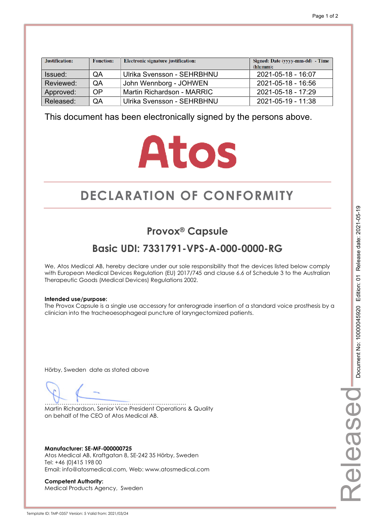| Justification: | <b>Function:</b> | Electronic signature justification: | Signed: Date (yyyy-mm-dd) - Time<br>(hh:mm): |
|----------------|------------------|-------------------------------------|----------------------------------------------|
| Issued:        | QA               | Ulrika Svensson - SEHRBHNU          | 2021-05-18 - 16:07                           |
| Reviewed:      | QA               | John Wennborg - JOHWEN              | $2021 - 05 - 18 - 16.56$                     |
| Approved:      | <b>OP</b>        | Martin Richardson - MARRIC          | 2021-05-18 - 17:29                           |
| Released:      | QA               | Ulrika Svensson - SEHRBHNU          | 2021-05-19 - 11:38                           |

# **Atos**

# **DECLARATION OF CONFORMITY CONFORMITY**

## **Provox® Capsule**

## **Basic UDI: 7331791-VPS-A-000-0000-RG**

We, Atos Medical AB, hereby declare under our sole responsibility that the devices listed below comply with European Medical Devices Regulation (EU) 2017/745 and clause 6.6 of Schedule 3 to the Australian Therapeutic Goods (Medical Devices) Regulations 2002.

#### **Intended use/purpose:**

The Provox Capsule is a single use accessory for anterograde insertion of a standard voice prosthesis by a clinician into the tracheoesophageal puncture of laryngectomized patients.

Hörby, Sweden date as stated above

………………………………………………………………… Martin Richardson, Senior Vice President Operations & Quality on behalf of the CEO of Atos Medical AB.

**Manufacturer: SE-MF-000000725**  Atos Medical AB, Kraftgatan 8, SE-242 35 Hörby, Sweden Tel: +46 (0)415 198 00 Email: info@atosmedical.com, Web: www.atosmedical.com

**Competent Authority:**  Medical Products Agency, Sweden Released

elease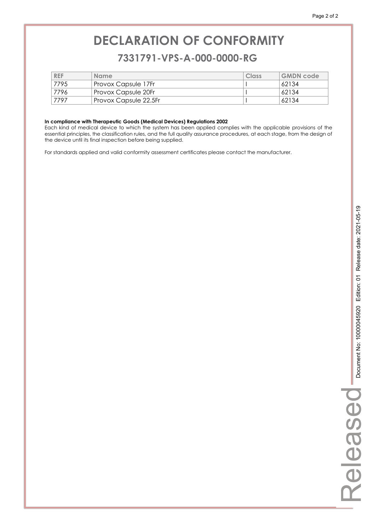### **7331791-VPS-A-000-0000-RG 7331791-VPS-A-000-0000-RG**

| <b>REF</b> | <b>Name</b>           | Class | <b>GMDN</b> code |
|------------|-----------------------|-------|------------------|
| 7795       | Provox Capsule 17Fr   |       | 62134            |
| 7796       | Provox Capsule 20Fr   |       | 62134            |
| 7797       | Provox Capsule 22.5Fr |       | 62134            |

#### **In compliance with Therapeutic Goods (Medical Devices) Regulations 2002**

Each kind of medical device to which the system has been applied complies with the applicable provisions of the essential principles, the classification rules, and the full quality assurance procedures, at each stage, from the design of the device until its final inspection before being supplied.

For standards applied and valid conformity assessment certificates please contact the manufacturer.

Released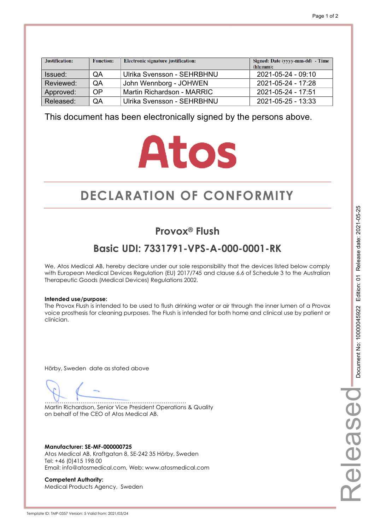| Justification: | <b>Function:</b> | Electronic signature justification: | Signed: Date (yyyy-mm-dd) - Time<br>(hh:mm): |
|----------------|------------------|-------------------------------------|----------------------------------------------|
| Issued:        | QA               | Ulrika Svensson - SEHRBHNU          | 2021-05-24 - 09:10                           |
| Reviewed:      | QA               | John Wennborg - JOHWEN              | $2021 - 05 - 24 - 17:28$                     |
| Approved:      | OP               | Martin Richardson - MARRIC          | $2021 - 05 - 24 - 17.51$                     |
| Released:      | QA               | Ulrika Svensson - SEHRBHNU          | $2021 - 05 - 25 - 13:33$                     |

# **Atos**

# **DECLARATION OF CONFORMITY CONFORMITY**

### **Provox® Flush**

## **Basic UDI: 7331791-VPS-A-000-0001-RK**

We, Atos Medical AB, hereby declare under our sole responsibility that the devices listed below comply with European Medical Devices Regulation (EU) 2017/745 and clause 6.6 of Schedule 3 to the Australian Therapeutic Goods (Medical Devices) Regulations 2002.

#### **Intended use/purpose:**

The Provox Flush is intended to be used to flush drinking water or air through the inner lumen of a Provox voice prosthesis for cleaning purposes. The Flush is intended for both home and clinical use by patient or clinician.

Hörby, Sweden date as stated above

………………………………………………………………… Martin Richardson, Senior Vice President Operations & Quality on behalf of the CEO of Atos Medical AB.

**Manufacturer: SE-MF-000000725**  Atos Medical AB, Kraftgatan 8, SE-242 35 Hörby, Sweden Tel: +46 (0)415 198 00 Email: info@atosmedical.com, Web: www.atosmedical.com

**Competent Authority:**  Medical Products Agency, Sweden

Document No: 10000045922 Edition: 01 Release date: 2021-05-25 Document No: 10000045922 Edition: 01 Release date: 2021-05-25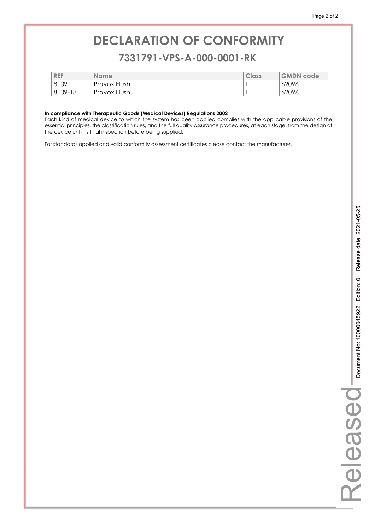### **7331791-VPS-A-000-0001-RK 7331791-VPS-A-000-0001-RK**

| <b>REF</b>  | <b>Name</b>  | Class | <b>GMDN code</b> |
|-------------|--------------|-------|------------------|
| 8109        | Provox Flush |       | 62096            |
| $8109 - 18$ | Provox Flush |       | 62096            |

#### **In compliance with Therapeutic Goods (Medical Devices) Regulations 2002**

Each kind of medical device to which the system has been applied complies with the applicable provisions of the essential principles, the classification rules, and the full quality assurance procedures, at each stage, from the design of the device until its final inspection before being supplied.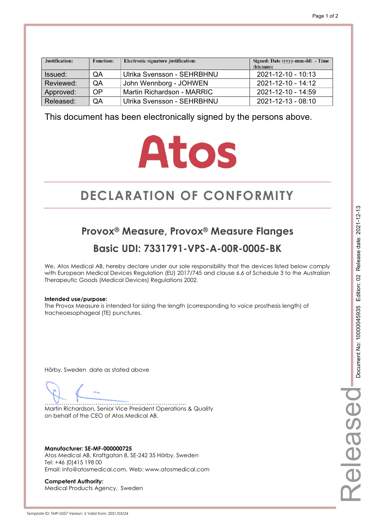| Justification: | <b>Function:</b> | Electronic signature justification: | Signed: Date (yyyy-mm-dd) - Time<br>(hh:mm): |
|----------------|------------------|-------------------------------------|----------------------------------------------|
| Issued:        | QA               | Ulrika Svensson - SEHRBHNU          | 2021-12-10 - 10:13                           |
| Reviewed:      | QA               | John Wennborg - JOHWEN              | $2021 - 12 - 10 - 14.12$                     |
| Approved:      | OP               | Martin Richardson - MARRIC          | 2021-12-10 - 14:59                           |
| Released:      | QA               | Ulrika Svensson - SEHRBHNU          | 2021-12-13 - 08:10                           |

# **Atos**

# **DECLARATION OF CONFORMITY CONFORMITY**

## **Provox® Measure, Provox® Measure Flanges Basic UDI: 7331791-VPS-A-00R-0005-BK**

We, Atos Medical AB, hereby declare under our sole responsibility that the devices listed below comply with European Medical Devices Regulation (EU) 2017/745 and clause 6.6 of Schedule 3 to the Australian Therapeutic Goods (Medical Devices) Regulations 2002.

#### **Intended use/purpose:**

The Provox Measure is intended for sizing the length (corresponding to voice prosthesis length) of tracheoesophageal (TE) punctures.

Hörby, Sweden date as stated above

………………………………………………………………… Martin Richardson, Senior Vice President Operations & Quality on behalf of the CEO of Atos Medical AB.

**Manufacturer: SE-MF-000000725**  Atos Medical AB, Kraftgatan 8, SE-242 35 Hörby, Sweden Tel: +46 (0)415 198 00 Email: info@atosmedical.com, Web: www.atosmedical.com

**Competent Authority:**  Medical Products Agency, Sweden Released

eleasec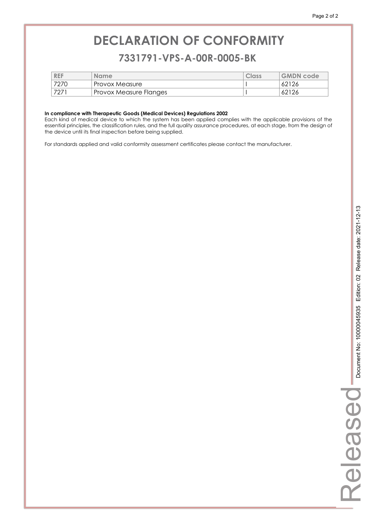### **7331791-VPS-A-00R-0005-BK 7331791-VPS-A-00R-0005-BK**

| <b>REF</b> | <b>Name</b>            | Class | <b>GMDN</b> code |
|------------|------------------------|-------|------------------|
| 7270       | Provox Measure         |       | 62126            |
| 7271       | Provox Measure Flanges |       | 62126            |

#### **In compliance with Therapeutic Goods (Medical Devices) Regulations 2002**

Each kind of medical device to which the system has been applied complies with the applicable provisions of the essential principles, the classification rules, and the full quality assurance procedures, at each stage, from the design of the device until its final inspection before being supplied.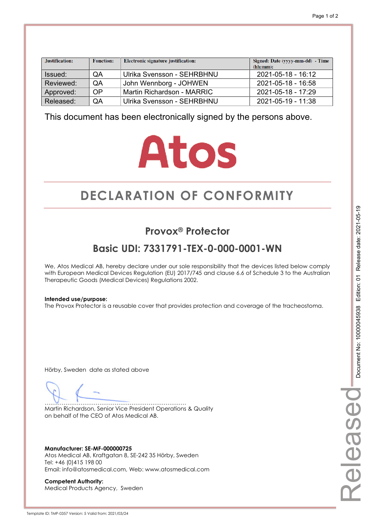| Justification: | <b>Function:</b> | Electronic signature justification: | Signed: Date (yyyy-mm-dd) - Time<br>(hh:mm): |
|----------------|------------------|-------------------------------------|----------------------------------------------|
| Issued:        | QA               | Ulrika Svensson - SEHRBHNU          | 2021-05-18 - 16:12                           |
| Reviewed:      | QA               | John Wennborg - JOHWEN              | $2021 - 05 - 18 - 16.58$                     |
| Approved:      | <b>OP</b>        | Martin Richardson - MARRIC          | 2021-05-18 - 17:29                           |
| Released:      | QA               | Ulrika Svensson - SEHRBHNU          | 2021-05-19 - 11:38                           |

# **Atos**

# **DECLARATION OF CONFORMITY CONFORMITY**

## **Provox® Protector**

## **Basic UDI: 7331791-TEX-0-000-0001-WN**

We, Atos Medical AB, hereby declare under our sole responsibility that the devices listed below comply with European Medical Devices Regulation (EU) 2017/745 and clause 6.6 of Schedule 3 to the Australian Therapeutic Goods (Medical Devices) Regulations 2002.

#### **Intended use/purpose:**

The Provox Protector is a reusable cover that provides protection and coverage of the tracheostoma.

Hörby, Sweden date as stated above

………………………………………………………………… Martin Richardson, Senior Vice President Operations & Quality on behalf of the CEO of Atos Medical AB.

**Manufacturer: SE-MF-000000725**  Atos Medical AB, Kraftgatan 8, SE-242 35 Hörby, Sweden Tel: +46 (0)415 198 00 Email: info@atosmedical.com, Web: www.atosmedical.com

**Competent Authority:**  Medical Products Agency, Sweden Released

eleasec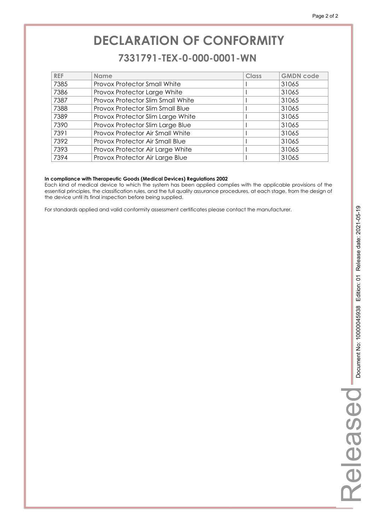### **7331791-TEX-0-000-0001-WN 7331791-TEX-0-000-0001-WN**

| <b>REF</b> | <b>Name</b>                             | Class | <b>GMDN</b> code |
|------------|-----------------------------------------|-------|------------------|
| 7385       | <b>Provox Protector Small White</b>     |       | 31065            |
| 7386       | Provox Protector Large White            |       | 31065            |
| 7387       | Provox Protector Slim Small White       |       | 31065            |
| 7388       | <b>Provox Protector Slim Small Blue</b> |       | 31065            |
| 7389       | Provox Protector Slim Large White       |       | 31065            |
| 7390       | Provox Protector Slim Large Blue        |       | 31065            |
| 7391       | Provox Protector Air Small White        |       | 31065            |
| 7392       | Provox Protector Air Small Blue         |       | 31065            |
| 7393       | Provox Protector Air Large White        |       | 31065            |
| 7394       | Provox Protector Air Large Blue         |       | 31065            |

#### **In compliance with Therapeutic Goods (Medical Devices) Regulations 2002**

Each kind of medical device to which the system has been applied complies with the applicable provisions of the essential principles, the classification rules, and the full quality assurance procedures, at each stage, from the design of the device until its final inspection before being supplied.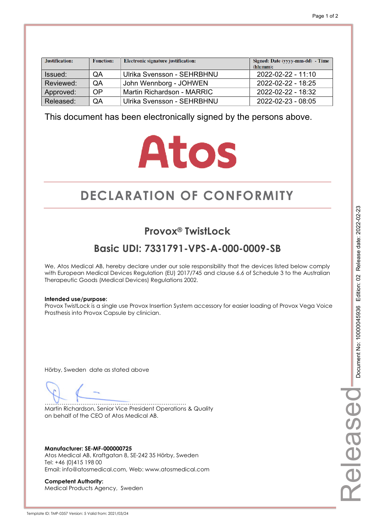| Justification: | <b>Function:</b> | Electronic signature justification: | Signed: Date (yyyy-mm-dd) - Time<br>(hh:mm): |
|----------------|------------------|-------------------------------------|----------------------------------------------|
| Issued:        | QA               | Ulrika Svensson - SEHRBHNU          | 2022-02-22 - 11:10                           |
| Reviewed:      | QA               | John Wennborg - JOHWEN              | $2022 - 02 - 22 - 18:25$                     |
| Approved:      | OP               | Martin Richardson - MARRIC          | $2022 - 02 - 22 - 18:32$                     |
| Released:      | QA               | Ulrika Svensson - SEHRBHNU          | 2022-02-23 - 08:05                           |

# **Atos**

# **DECLARATION OF CONFORMITY CONFORMITY**

## **Provox<sup>®</sup> TwistLock**

## **Basic UDI: 7331791-VPS-A-000-0009-SB**

We, Atos Medical AB, hereby declare under our sole responsibility that the devices listed below comply with European Medical Devices Regulation (EU) 2017/745 and clause 6.6 of Schedule 3 to the Australian Therapeutic Goods (Medical Devices) Regulations 2002.

#### **Intended use/purpose:**

Provox TwistLock is a single use Provox Insertion System accessory for easier loading of Provox Vega Voice Prosthesis into Provox Capsule by clinician.

Hörby, Sweden date as stated above

………………………………………………………………… Martin Richardson, Senior Vice President Operations & Quality on behalf of the CEO of Atos Medical AB.

**Manufacturer: SE-MF-000000725**  Atos Medical AB, Kraftgatan 8, SE-242 35 Hörby, Sweden Tel: +46 (0)415 198 00 Email: info@atosmedical.com, Web: www.atosmedical.com

**Competent Authority:**  Medical Products Agency, Sweden

Template ID: TMP-0357 Version: 5 Valid from: 2021/03/24

Released

eleased